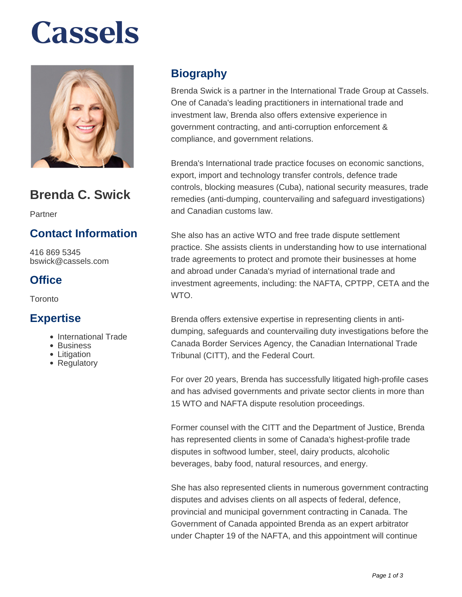# **Cassels**



## **Brenda C. Swick**

Partner

### **Contact Information**

416 869 5345 bswick@cassels.com

### **Office**

**Toronto** 

#### **Expertise**

- International Trade
- Business
- Litigation
- Regulatory

### **Biography**

Brenda Swick is a partner in the International Trade Group at Cassels. One of Canada's leading practitioners in international trade and investment law, Brenda also offers extensive experience in government contracting, and anti-corruption enforcement & compliance, and government relations.

Brenda's International trade practice focuses on economic sanctions, export, import and technology transfer controls, defence trade controls, blocking measures (Cuba), national security measures, trade remedies (anti-dumping, countervailing and safeguard investigations) and Canadian customs law.

She also has an active WTO and free trade dispute settlement practice. She assists clients in understanding how to use international trade agreements to protect and promote their businesses at home and abroad under Canada's myriad of international trade and investment agreements, including: the NAFTA, CPTPP, CETA and the WTO.

Brenda offers extensive expertise in representing clients in antidumping, safeguards and countervailing duty investigations before the Canada Border Services Agency, the Canadian International Trade Tribunal (CITT), and the Federal Court.

For over 20 years, Brenda has successfully litigated high-profile cases and has advised governments and private sector clients in more than 15 WTO and NAFTA dispute resolution proceedings.

Former counsel with the CITT and the Department of Justice, Brenda has represented clients in some of Canada's highest-profile trade disputes in softwood lumber, steel, dairy products, alcoholic beverages, baby food, natural resources, and energy.

She has also represented clients in numerous government contracting disputes and advises clients on all aspects of federal, defence, provincial and municipal government contracting in Canada. The Government of Canada appointed Brenda as an expert arbitrator under Chapter 19 of the NAFTA, and this appointment will continue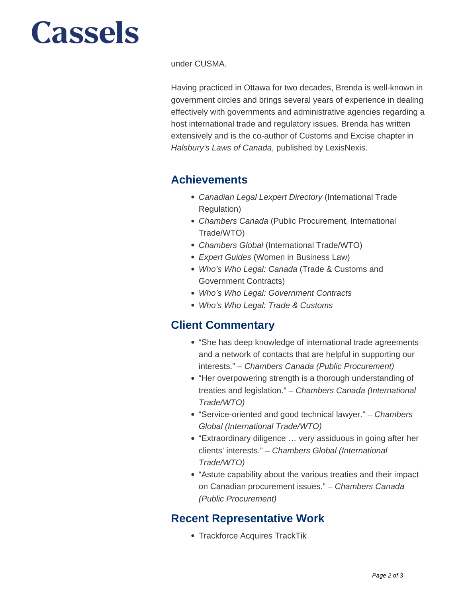# **Cassels**

under CUSMA.

Having practiced in Ottawa for two decades, Brenda is well-known in government circles and brings several years of experience in dealing effectively with governments and administrative agencies regarding a host international trade and regulatory issues. Brenda has written extensively and is the co-author of Customs and Excise chapter in Halsbury's Laws of Canada, published by LexisNexis.

#### **Achievements**

- Canadian Legal Lexpert Directory (International Trade Regulation)
- Chambers Canada (Public Procurement, International Trade/WTO)
- Chambers Global (International Trade/WTO)
- Expert Guides (Women in Business Law)
- Who's Who Legal: Canada (Trade & Customs and Government Contracts)
- Who's Who Legal: Government Contracts
- Who's Who Legal: Trade & Customs

#### **Client Commentary**

- "She has deep knowledge of international trade agreements and a network of contacts that are helpful in supporting our interests." – Chambers Canada (Public Procurement)
- "Her overpowering strength is a thorough understanding of treaties and legislation." – Chambers Canada (International Trade/WTO)
- "Service-oriented and good technical lawyer." Chambers Global (International Trade/WTO)
- "Extraordinary diligence ... very assiduous in going after her clients' interests." – Chambers Global (International Trade/WTO)
- "Astute capability about the various treaties and their impact on Canadian procurement issues." – Chambers Canada (Public Procurement)

### **Recent Representative Work**

Trackforce Acquires TrackTik